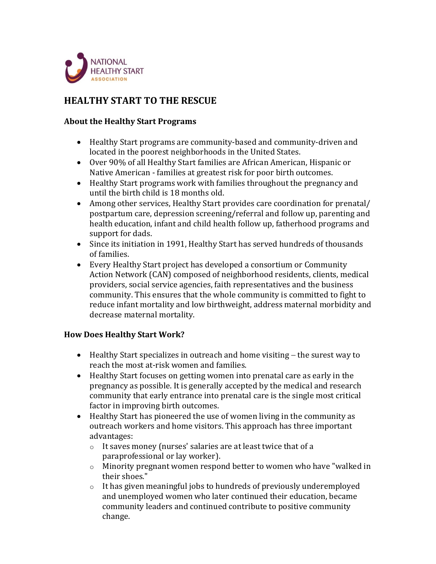

## **HEALTHY START TO THE RESCUE**

## **About the Healthy Start Programs**

- Healthy Start programs are community-based and community-driven and located in the poorest neighborhoods in the United States.
- Over 90% of all Healthy Start families are African American, Hispanic or Native American - families at greatest risk for poor birth outcomes.
- Healthy Start programs work with families throughout the pregnancy and until the birth child is 18 months old.
- Among other services, Healthy Start provides care coordination for prenatal/ postpartum care, depression screening/referral and follow up, parenting and health education, infant and child health follow up, fatherhood programs and support for dads.
- Since its initiation in 1991, Healthy Start has served hundreds of thousands of families.
- Every Healthy Start project has developed a consortium or Community Action Network (CAN) composed of neighborhood residents, clients, medical providers, social service agencies, faith representatives and the business community. This ensures that the whole community is committed to fight to reduce infant mortality and low birthweight, address maternal morbidity and decrease maternal mortality.

## **How Does Healthy Start Work?**

- Healthy Start specializes in outreach and home visiting − the surest way to reach the most at-risk women and families.
- Healthy Start focuses on getting women into prenatal care as early in the pregnancy as possible. It is generally accepted by the medical and research community that early entrance into prenatal care is the single most critical factor in improving birth outcomes.
- Healthy Start has pioneered the use of women living in the community as outreach workers and home visitors. This approach has three important advantages:
	- o It saves money (nurses' salaries are at least twice that of a paraprofessional or lay worker).
	- o Minority pregnant women respond better to women who have "walked in their shoes."
	- o It has given meaningful jobs to hundreds of previously underemployed and unemployed women who later continued their education, became community leaders and continued contribute to positive community change.